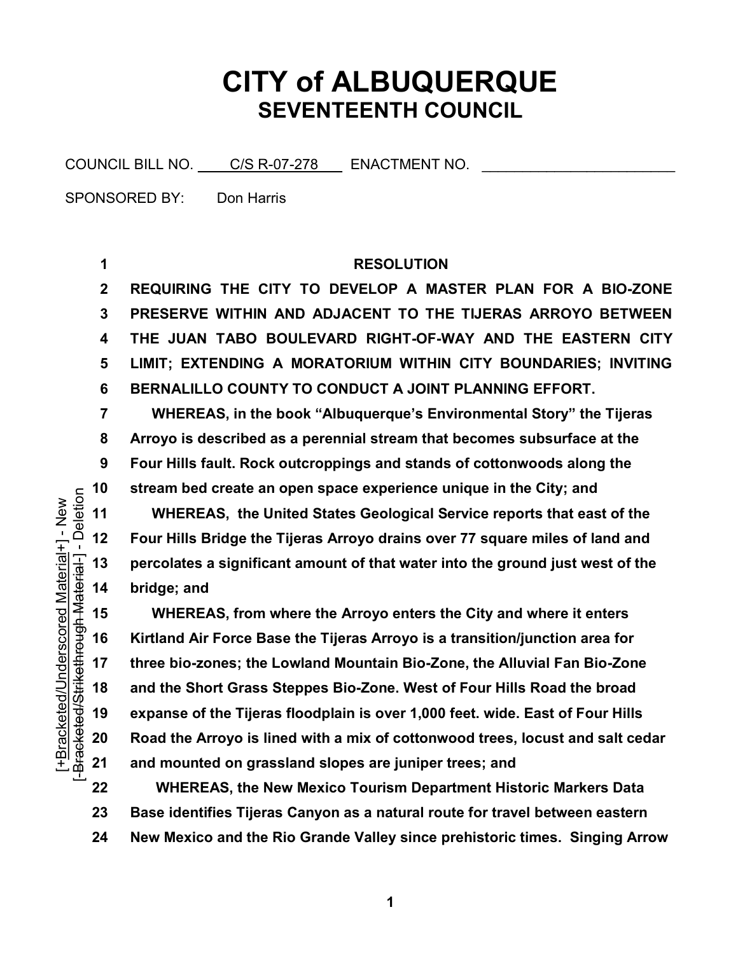## **CITY of ALBUQUERQUE SEVENTEENTH COUNCIL**

COUNCIL BILL NO. C/S R-07-278 ENACTMENT NO.

SPONSORED BY: Don Harris

## **RESOLUTION**

 **REQUIRING THE CITY TO DEVELOP A MASTER PLAN FOR A BIOZONE PRESERVE WITHIN AND ADJACENT TO THE TIJERAS ARROYO BETWEEN THE JUAN TABO BOULEVARD RIGHTOFWAY AND THE EASTERN CITY LIMIT; EXTENDING A MORATORIUM WITHIN CITY BOUNDARIES; INVITING BERNALILLO COUNTY TO CONDUCT A JOINT PLANNING EFFORT.** 

 **WHEREAS, in the book "Albuquerque's Environmental Story" the Tijeras Arroyo is described as a perennial stream that becomes subsurface at the Four Hills fault. Rock outcroppings and stands of cottonwoods along the stream bed create an open space experience unique in the City; and** 

 **WHEREAS, the United States Geological Service reports that east of the Four Hills Bridge the Tijeras Arroyo drains over 77 square miles of land and percolates a significant amount of that water into the ground just west of the bridge; and**

 **WHEREAS, from where the Arroyo enters the City and where it enters Kirtland Air Force Base the Tijeras Arroyo is a transition/junction area for three biozones; the Lowland Mountain BioZone, the Alluvial Fan BioZone and the Short Grass Steppes BioZone. West of Four Hills Road the broad expanse of the Tijeras floodplain is over 1,000 feet. wide. East of Four Hills Road the Arroyo is lined with a mix of cottonwood trees, locust and salt cedar and mounted on grassland slopes are juniper trees; and** 

 **WHEREAS, the New Mexico Tourism Department Historic Markers Data Base identifies Tijeras Canyon as a natural route for travel between eastern New Mexico and the Rio Grande Valley since prehistoric times. Singing Arrow**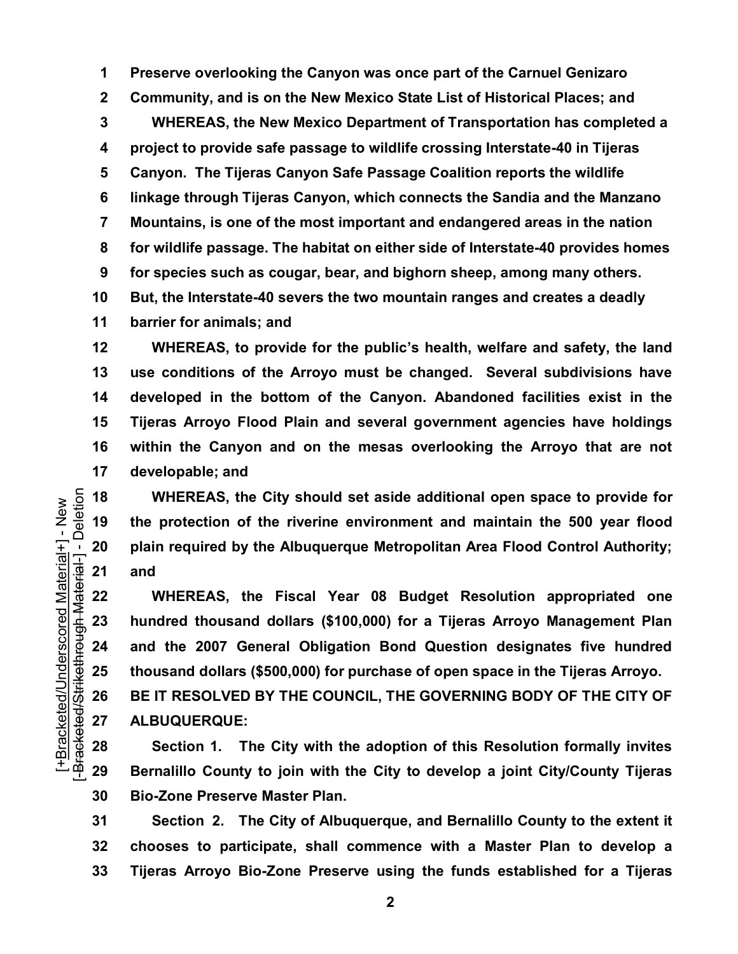**Preserve overlooking the Canyon was once part of the Carnuel Genizaro Community, and is on the New Mexico State List of Historical Places; and WHEREAS, the New Mexico Department of Transportation has completed a project to provide safe passage to wildlife crossing Interstate40 in Tijeras Canyon. The Tijeras Canyon Safe Passage Coalition reports the wildlife linkage through Tijeras Canyon, which connects the Sandia and the Manzano Mountains, is one of the most important and endangered areas in the nation for wildlife passage. The habitat on either side of Interstate40 provides homes for species such as cougar, bear, and bighorn sheep, among many others. But, the Interstate40 severs the two mountain ranges and creates a deadly barrier for animals; and**

 **WHEREAS, to provide for the public's health, welfare and safety, the land use conditions of the Arroyo must be changed. Several subdivisions have developed in the bottom of the Canyon. Abandoned facilities exist in the Tijeras Arroyo Flood Plain and several government agencies have holdings within the Canyon and on the mesas overlooking the Arroyo that are not developable; and**

 **WHEREAS, the City should set aside additional open space to provide for the protection of the riverine environment and maintain the 500 year flood plain required by the Albuquerque Metropolitan Area Flood Control Authority; and**

 **WHEREAS, the Fiscal Year 08 Budget Resolution appropriated one hundred thousand dollars (\$100,000) for a Tijeras Arroyo Management Plan and the 2007 General Obligation Bond Question designates five hundred thousand dollars (\$500,000) for purchase of open space in the Tijeras Arroyo. BE IT RESOLVED BY THE COUNCIL, THE GOVERNING BODY OF THE CITY OF**

**ALBUQUERQUE:**

 **Section 1. The City with the adoption of this Resolution formally invites Bernalillo County to join with the City to develop a joint City/County Tijeras BioZone Preserve Master Plan.** 

 **Section 2. The City of Albuquerque, and Bernalillo County to the extent it chooses to participate, shall commence with a Master Plan to develop a Tijeras Arroyo BioZone Preserve using the funds established for a Tijeras**